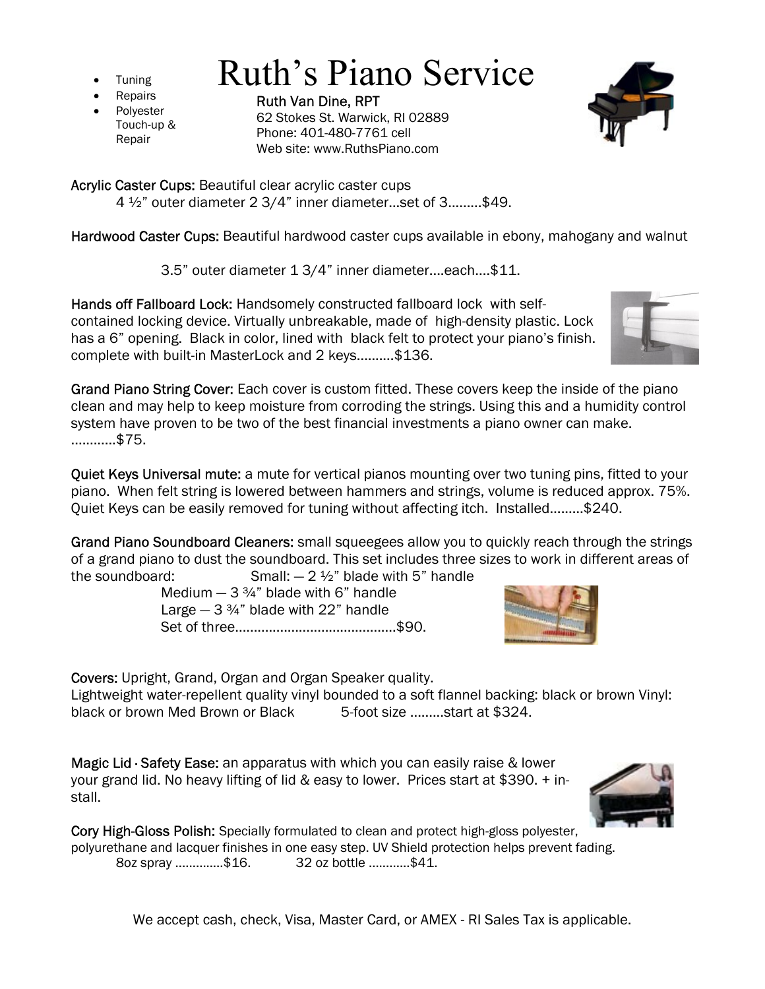- **Tuning**
- **Repairs**
- **Polyester** Touch-up & Repair

Ruth Van Dine, RPT 62 Stokes St. Warwick, RI 02889 Phone: 401-480-7761 cell Web site: www.RuthsPiano.com

Ruth's Piano Service

Acrylic Caster Cups: Beautiful clear acrylic caster cups

4 ½" outer diameter 2 3/4" inner diameter...set of 3.........\$49.

Hardwood Caster Cups: Beautiful hardwood caster cups available in ebony, mahogany and walnut

3.5" outer diameter 1 3/4" inner diameter....each....\$11.

Hands off Fallboard Lock: Handsomely constructed fallboard lock with selfcontained locking device. Virtually unbreakable, made of high-density plastic. Lock has a 6" opening. Black in color, lined with black felt to protect your piano's finish. complete with built-in MasterLock and 2 keys..........\$136.

Grand Piano String Cover: Each cover is custom fitted. These covers keep the inside of the piano clean and may help to keep moisture from corroding the strings. Using this and a humidity control system have proven to be two of the best financial investments a piano owner can make. ............\$75.

Quiet Keys Universal mute: a mute for vertical pianos mounting over two tuning pins, fitted to your piano. When felt string is lowered between hammers and strings, volume is reduced approx. 75%. Quiet Keys can be easily removed for tuning without affecting itch. Installed…...…\$240.

Grand Piano Soundboard Cleaners: small squeegees allow you to quickly reach through the strings of a grand piano to dust the soundboard. This set includes three sizes to work in different areas of the soundboard:  $Small: -2 \frac{1}{2}$ " blade with 5" handle

Medium  $-3\frac{3}{4}$ " blade with 6" handle Large  $-3\frac{3}{4}$ " blade with 22" handle Set of three...........................................\$90.

Covers: Upright, Grand, Organ and Organ Speaker quality.

Lightweight water-repellent quality vinyl bounded to a soft flannel backing: black or brown Vinyl: black or brown Med Brown or Black 5-foot size .........start at \$324.

Magic Lid · Safety Ease: an apparatus with which you can easily raise & lower your grand lid. No heavy lifting of lid & easy to lower. Prices start at \$390. + install.

Cory High-Gloss Polish: Specially formulated to clean and protect high-gloss polyester, polyurethane and lacquer finishes in one easy step. UV Shield protection helps prevent fading. 8oz spray ..............\$16. 32 oz bottle ............\$41.

We accept cash, check, Visa, Master Card, or AMEX - RI Sales Tax is applicable.